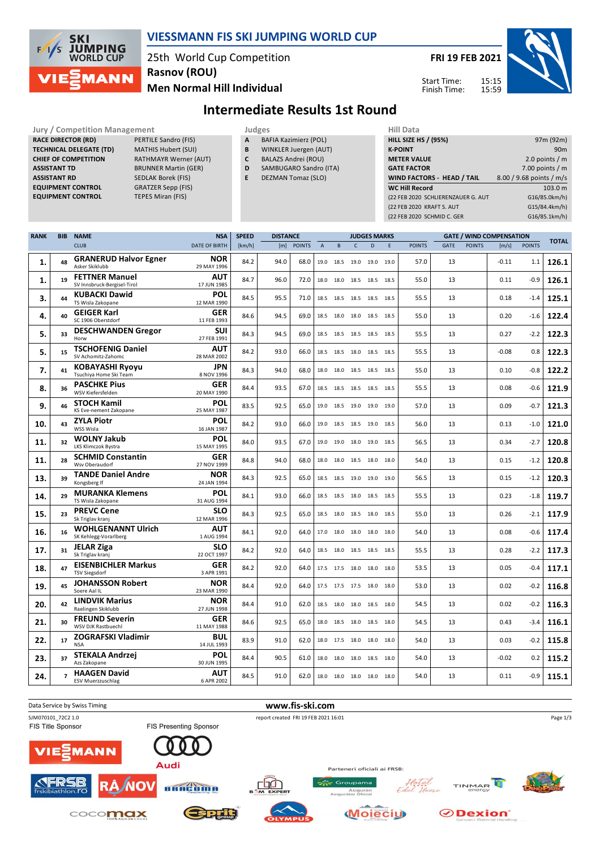

## **VIESSMANN FIS SKI JUMPING WORLD CUP**

25th World Cup Competition **Rasnov (ROU)**

**FRI 19 FEB 2021**

Start Time: Finish Time: 15:15 15:59



**Men Normal Hill Individual**

**Jury / Competition Management Judges Judges Hill Data**<br> **RACE DIRECTOR (RD) PERTILE Sandro (FIS) A** BAFIA Kazimierz (POL) **HILL SIZE RACE DIRECTOR (RD) TECHNICAL DELEGATE (TD)** MATHIS Hubert (SUI) **CHIEF OF COMPETITION** RATHMAYR Werner (AUT) **ASSISTANT TD** BRUNNER Martin (GER) **ASSISTANT RD** SEDLAK Borek (FIS)<br>**EQUIPMENT CONTROL** GRATZER Sepp (FIS) **EQUIPMENT CONTROL** GRATZER Sepp (FIS)<br>**EQUIPMENT CONTROL** TEPES Miran (FIS) **EQUIPMENT CONTROL** 

- 
- 
- **A** BAFIA Kazimierz (POL)
- **B** WINKLER Juergen (AUT)

**Intermediate Results 1st Round**

- **C** BALAZS Andrei (ROU)
- **D** SAMBUGARO Sandro (ITA)
- **E** DEZMAN Tomaz (SLO)

| нш рата                            |                          |
|------------------------------------|--------------------------|
| <b>HILL SIZE HS / (95%)</b>        | 97m (92m)                |
| <b>K-POINT</b>                     | 90 <sub>m</sub>          |
| <b>METER VALUE</b>                 | 2.0 points $/m$          |
| <b>GATE FACTOR</b>                 | 7.00 points $/m$         |
| <b>WIND FACTORS - HEAD / TAIL</b>  | 8.00 / 9.68 points / m/s |
| <b>WC Hill Record</b>              | 103.0 m                  |
| (22 FEB 2020 SCHLIERENZAUER G. AUT | G16/85.0km/h)            |
| (22 FEB 2020 KRAFT S. AUT          | G15/84.4km/h)            |
| (22 FEB 2020 SCHMID C. GER         | G16/85.1km/h)            |
|                                    |                          |

| <b>RANK</b> | <b>BIB</b>               | <b>NAME</b>                                          | <b>NSA</b>                | <b>SPEED</b> | <b>DISTANCE</b> |               |                |                |                          | <b>JUDGES MARKS</b> |      |               |      | <b>GATE / WIND COMPENSATION</b> |         |               |              |
|-------------|--------------------------|------------------------------------------------------|---------------------------|--------------|-----------------|---------------|----------------|----------------|--------------------------|---------------------|------|---------------|------|---------------------------------|---------|---------------|--------------|
|             |                          | <b>CLUB</b>                                          | <b>DATE OF BIRTH</b>      | [km/h]       | [m]             | <b>POINTS</b> | $\overline{A}$ | B              | $\mathsf{C}$             | D                   | E    | <b>POINTS</b> | GATE | <b>POINTS</b>                   | [m/s]   | <b>POINTS</b> | <b>TOTAL</b> |
| 1.          | 48                       | <b>GRANERUD Halvor Egner</b><br>Asker Skiklubb       | <b>NOR</b><br>29 MAY 1996 | 84.2         | 94.0            | 68.0          | 19.0           | 18.5           | 19.0                     | 19.0                | 19.0 | 57.0          | 13   |                                 | $-0.11$ | 1.1           | 126.1        |
| 1.          | 19                       | <b>FETTNER Manuel</b><br>SV Innsbruck-Bergisel-Tirol | <b>AUT</b><br>17 JUN 1985 | 84.7         | 96.0            | 72.0          | 18.0           | 18.0           | 18.5                     | 18.5 18.5           |      | 55.0          | 13   |                                 | 0.11    | $-0.9$        | 126.1        |
| 3.          | 44                       | <b>KUBACKI Dawid</b><br>TS Wisla Zakopane            | <b>POL</b><br>12 MAR 1990 | 84.5         | 95.5            | 71.0          | 18.5           | 18.5           | 18.5                     | 18.5 18.5           |      | 55.5          | 13   |                                 | 0.18    | $-1.4$        | 125.1        |
| 4.          | 40                       | <b>GEIGER Karl</b><br>SC 1906 Oberstdorf             | <b>GER</b><br>11 FEB 1993 | 84.6         | 94.5            | 69.0          |                | 18.5 18.0 18.0 |                          | 18.5 18.5           |      | 55.0          | 13   |                                 | 0.20    | $-1.6$        | 122.4        |
| 5.          | 33                       | <b>DESCHWANDEN Gregor</b><br>Horw                    | <b>SUI</b><br>27 FEB 1991 | 84.3         | 94.5            | 69.0          |                | 18.5 18.5 18.5 |                          | 18.5 18.5           |      | 55.5          | 13   |                                 | 0.27    | $-2.2$        | 122.3        |
| 5.          | 15                       | <b>TSCHOFENIG Daniel</b><br>SV Achomitz-Zahomc       | <b>AUT</b><br>28 MAR 2002 | 84.2         | 93.0            | 66.0          |                | 18.5 18.5 18.0 |                          | 18.5 18.5           |      | 55.5          | 13   |                                 | $-0.08$ | 0.8           | 122.3        |
| 7.          | 41                       | <b>KOBAYASHI Ryoyu</b><br>Tsuchiva Home Ski Team     | <b>JPN</b><br>8 NOV 1996  | 84.3         | 94.0            | 68.0          |                | 18.0 18.0 18.5 |                          | 18.5 18.5           |      | 55.0          | 13   |                                 | 0.10    | $-0.8$        | 122.2        |
| 8.          | 36                       | <b>PASCHKE Pius</b><br>WSV Kiefersfelden             | <b>GER</b><br>20 MAY 1990 | 84.4         | 93.5            | 67.0          |                |                | 18.5 18.5 18.5 18.5 18.5 |                     |      | 55.5          | 13   |                                 | 0.08    | $-0.6$        | 121.9        |
| 9.          | 46                       | <b>STOCH Kamil</b><br>KS Eve-nement Zakopane         | <b>POL</b><br>25 MAY 1987 | 83.5         | 92.5            | 65.0          |                | 19.0 18.5 19.0 |                          | 19.0 19.0           |      | 57.0          | 13   |                                 | 0.09    | $-0.7$        | 121.3        |
| 10.         | 43                       | <b>ZYLA Piotr</b><br>WSS Wisla                       | POL<br>16 JAN 1987        | 84.2         | 93.0            | 66.0          |                |                | 19.0 18.5 18.5 19.0 18.5 |                     |      | 56.0          | 13   |                                 | 0.13    | $-1.0$        | 121.0        |
| 11.         | 32                       | <b>WOLNY Jakub</b><br>LKS Klimczok Bystra            | POL<br>15 MAY 1995        | 84.0         | 93.5            | 67.0          |                | 19.0 19.0 18.0 |                          | 19.0 18.5           |      | 56.5          | 13   |                                 | 0.34    | $-2.7$        | 120.8        |
| 11.         | 28                       | <b>SCHMID Constantin</b><br>Wsv Oberaudorf           | GER<br>27 NOV 1999        | 84.8         | 94.0            | 68.0          |                |                | 18.0 18.0 18.5 18.0 18.0 |                     |      | 54.0          | 13   |                                 | 0.15    | $-1.2$        | 120.8        |
| 13.         | 39                       | <b>TANDE Daniel Andre</b><br>Kongsberg If            | <b>NOR</b><br>24 JAN 1994 | 84.3         | 92.5            | 65.0          |                | 18.5 18.5 19.0 |                          | 19.0 19.0           |      | 56.5          | 13   |                                 | 0.15    | $-1.2$        | 120.3        |
| 14.         | 29                       | <b>MURANKA Klemens</b><br>TS Wisla Zakopane          | POL<br>31 AUG 1994        | 84.1         | 93.0            | 66.0          |                |                | 18.5 18.5 18.0 18.5 18.5 |                     |      | 55.5          | 13   |                                 | 0.23    | $-1.8$        | 119.7        |
| 15.         | 23                       | <b>PREVC Cene</b><br>Sk Triglav kranj                | <b>SLO</b><br>12 MAR 1996 | 84.3         | 92.5            | 65.0          |                | 18.5 18.0 18.5 |                          | 18.0 18.5           |      | 55.0          | 13   |                                 | 0.26    | $-2.1$        | 117.9        |
| 16.         | 16                       | <b>WOHLGENANNT Ulrich</b><br>SK Kehlegg-Vorarlberg   | <b>AUT</b><br>1 AUG 1994  | 84.1         | 92.0            | 64.0          |                | 17.0 18.0 18.0 |                          | 18.0 18.0           |      | 54.0          | 13   |                                 | 0.08    | $-0.6$        | 117.4        |
| 17.         | 31                       | <b>JELAR Ziga</b><br>Sk Triglav kranj                | <b>SLO</b><br>22 OCT 1997 | 84.2         | 92.0            | 64.0          |                |                | 18.5 18.0 18.5 18.5 18.5 |                     |      | 55.5          | 13   |                                 | 0.28    | $-2.2$        | 117.3        |
| 18.         | 47                       | <b>EISENBICHLER Markus</b><br><b>TSV Siegsdorf</b>   | GER<br>3 APR 1991         | 84.2         | 92.0            | 64.0          |                | 17.5 17.5 18.0 |                          | 18.0 18.0           |      | 53.5          | 13   |                                 | 0.05    | -0.4          | 117.1        |
| 19.         | 45                       | <b>JOHANSSON Robert</b><br>Soere Aal IL              | <b>NOR</b><br>23 MAR 1990 | 84.4         | 92.0            | 64.0          |                | 17.5 17.5 17.5 |                          | 18.0 18.0           |      | 53.0          | 13   |                                 | 0.02    | $-0.2$        | 116.8        |
| 20.         | 42                       | <b>LINDVIK Marius</b><br>Raelingen Skiklubb          | <b>NOR</b><br>27 JUN 1998 | 84.4         | 91.0            | 62.0          |                | 18.5 18.0      | 18.0                     | 18.5 18.0           |      | 54.5          | 13   |                                 | 0.02    | $-0.2$        | 116.3        |
| 21.         | 30                       | <b>FREUND Severin</b><br>WSV DJK Rastbuechl          | <b>GER</b><br>11 MAY 1988 | 84.6         | 92.5            | 65.0          | 18.0           | 18.5 18.0      |                          | 18.5 18.0           |      | 54.5          | 13   |                                 | 0.43    | $-3.4$        | 116.1        |
| 22.         | 17                       | <b>ZOGRAFSKI Vladimir</b><br><b>NSA</b>              | <b>BUL</b><br>14 JUL 1993 | 83.9         | 91.0            | 62.0          |                | 18.0 17.5 18.0 |                          | 18.0 18.0           |      | 54.0          | 13   |                                 | 0.03    | $-0.2$        | 115.8        |
| 23.         | 37                       | <b>STEKALA Andrzej</b><br>Azs Zakopane               | POL<br>30 JUN 1995        | 84.4         | 90.5            | 61.0          | 18.0           | 18.0 18.0      |                          | 18.5 18.0           |      | 54.0          | 13   |                                 | $-0.02$ | 0.2           | 115.2        |
| 24.         | $\overline{\phantom{a}}$ | <b>HAAGEN David</b><br><b>ESV Muerzzuschlag</b>      | <b>AUT</b><br>6 APR 2002  | 84.5         | 91.0            | 62.0          |                |                | 18.0 18.0 18.0 18.0 18.0 |                     |      | 54.0          | 13   |                                 | 0.11    | $-0.9$        | 115.1        |

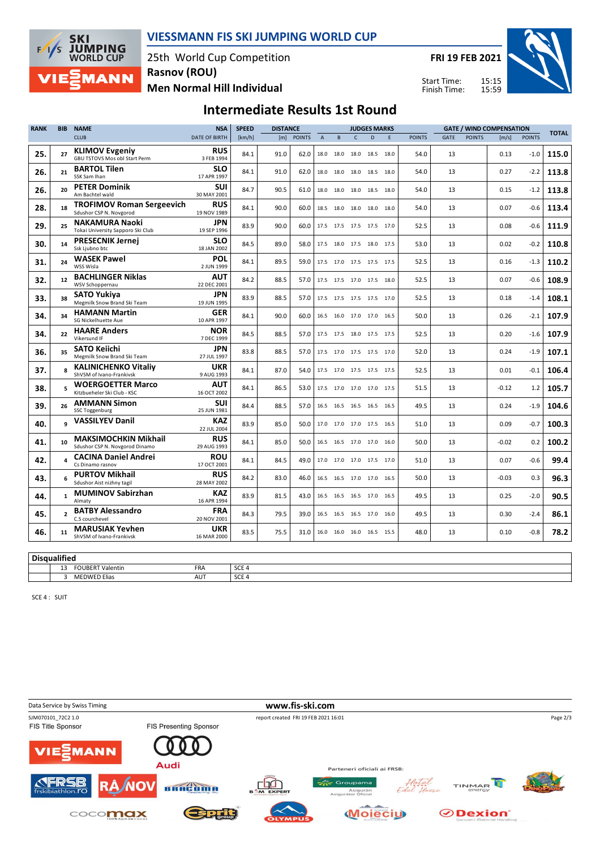

## **VIESSMANN FIS SKI JUMPING WORLD CUP**

25th World Cup Competition **Men Normal Hill Individual Rasnov (ROU)**

**FRI 19 FEB 2021**

Start Time: Finish Time:



## **Intermediate Results 1st Round**

| <b>RANK</b> | <b>BIB</b>      | <b>NAME</b>                                                   | <b>NSA</b>                | <b>SPEED</b> | <b>DISTANCE</b> |               |             | <b>JUDGES MARKS</b> |              |                          |   | <b>GATE / WIND COMPENSATION</b> |      |               |         | <b>TOTAL</b>  |       |
|-------------|-----------------|---------------------------------------------------------------|---------------------------|--------------|-----------------|---------------|-------------|---------------------|--------------|--------------------------|---|---------------------------------|------|---------------|---------|---------------|-------|
|             |                 | <b>CLUB</b>                                                   | <b>DATE OF BIRTH</b>      | [km/h]       | [m]             | <b>POINTS</b> | $\mathsf A$ | $\sf{B}$            | $\mathsf{C}$ | D.                       | E | <b>POINTS</b>                   | GATE | <b>POINTS</b> | [m/s]   | <b>POINTS</b> |       |
| 25.         | 27              | <b>KLIMOV Evgeniy</b><br><b>GBU TSTOVS Mos obl Start Perm</b> | <b>RUS</b><br>3 FEB 1994  | 84.1         | 91.0            | 62.0          |             | 18.0 18.0           |              | 18.0 18.5 18.0           |   | 54.0                            | 13   |               | 0.13    | $-1.0$        | 115.0 |
| 26.         | 21              | <b>BARTOL Tilen</b><br>SSK Sam Ihan                           | <b>SLO</b><br>17 APR 1997 | 84.1         | 91.0            | 62.0          |             | 18.0 18.0           |              | 18.0 18.5 18.0           |   | 54.0                            | 13   |               | 0.27    | $-2.2$        | 113.8 |
| 26.         | 20 <sub>0</sub> | <b>PETER Dominik</b><br>Am Bachtel wald                       | <b>SUI</b><br>30 MAY 2001 | 84.7         | 90.5            | 61.0          |             |                     |              | 18.0 18.0 18.0 18.5 18.0 |   | 54.0                            | 13   |               | 0.15    | $-1.2$        | 113.8 |
| 28.         | 18              | <b>TROFIMOV Roman Sergeevich</b><br>Sdushor CSP N. Novgorod   | <b>RUS</b><br>19 NOV 1989 | 84.1         | 90.0            | 60.0          |             | 18.5 18.0           |              | 18.0 18.0 18.0           |   | 54.0                            | 13   |               | 0.07    | $-0.6$        | 113.4 |
| 29.         | 25              | <b>NAKAMURA Naoki</b><br>Tokai University Sapporo Ski Club    | JPN<br>19 SEP 1996        | 83.9         | 90.0            | 60.0          |             | 17.5 17.5           |              | 17.5 17.5 17.0           |   | 52.5                            | 13   |               | 0.08    | $-0.6$        | 111.9 |
| 30.         | 14              | <b>PRESECNIK Jernej</b><br>Ssk Ljubno btc                     | SLO<br>18 JAN 2002        | 84.5         | 89.0            | 58.0          |             |                     |              | 17.5 18.0 17.5 18.0 17.5 |   | 53.0                            | 13   |               | 0.02    | $-0.2$        | 110.8 |
| 31.         | 24              | <b>WASEK Pawel</b><br>WSS Wisla                               | <b>POL</b><br>2 JUN 1999  | 84.1         | 89.5            | 59.0          |             |                     |              | 17.5 17.0 17.5 17.5 17.5 |   | 52.5                            | 13   |               | 0.16    | $-1.3$        | 110.2 |
| 32.         | 12              | <b>BACHLINGER Niklas</b><br>WSV Schoppernau                   | <b>AUT</b><br>22 DEC 2001 | 84.2         | 88.5            | 57.0          |             |                     |              | 17.5 17.5 17.0 17.5 18.0 |   | 52.5                            | 13   |               | 0.07    | $-0.6$        | 108.9 |
| 33.         | 38              | <b>SATO Yukiya</b><br>Megmilk Snow Brand Ski Team             | <b>JPN</b><br>19 JUN 1995 | 83.9         | 88.5            | 57.0          |             |                     |              | 17.5 17.5 17.5 17.5 17.0 |   | 52.5                            | 13   |               | 0.18    | $-1.4$        | 108.1 |
| 34.         | 34              | <b>HAMANN Martin</b><br>SG Nickelhuette Aue                   | GER<br>10 APR 1997        | 84.1         | 90.0            | 60.0          |             | 16.5 16.0           |              | 17.0 17.0 16.5           |   | 50.0                            | 13   |               | 0.26    | $-2.1$        | 107.9 |
| 34.         | 22              | <b>HAARE Anders</b><br>Vikersund IF                           | <b>NOR</b><br>7 DEC 1999  | 84.5         | 88.5            | 57.0          |             |                     |              | 17.5 17.5 18.0 17.5 17.5 |   | 52.5                            | 13   |               | 0.20    | $-1.6$        | 107.9 |
| 36.         | 35              | <b>SATO Keiichi</b><br>Megmilk Snow Brand Ski Team            | <b>JPN</b><br>27 JUL 1997 | 83.8         | 88.5            | 57.0          |             |                     |              | 17.5 17.0 17.5 17.5 17.0 |   | 52.0                            | 13   |               | 0.24    | $-1.9$        | 107.1 |
| 37.         | $\mathbf{R}$    | <b>KALINICHENKO Vitaliy</b><br>ShVSM of Ivano-Frankivsk       | <b>UKR</b><br>9 AUG 1993  | 84.1         | 87.0            | 54.0          |             |                     |              | 17.5 17.0 17.5 17.5 17.5 |   | 52.5                            | 13   |               | 0.01    | $-0.1$        | 106.4 |
| 38.         | 5               | <b>WOERGOETTER Marco</b><br>Kitzbueheler Ski Club - KSC       | <b>AUT</b><br>16 OCT 2002 | 84.1         | 86.5            | 53.0          |             |                     |              | 17.5 17.0 17.0 17.0 17.5 |   | 51.5                            | 13   |               | $-0.12$ | 1.2           | 105.7 |
| 39.         | 26              | <b>AMMANN Simon</b><br><b>SSC Toggenburg</b>                  | SUI<br>25 JUN 1981        | 84.4         | 88.5            | 57.0          |             | 16.5 16.5           |              | 16.5 16.5 16.5           |   | 49.5                            | 13   |               | 0.24    | $-1.9$        | 104.6 |
| 40.         |                 | <b>VASSILYEV Danil</b>                                        | <b>KAZ</b><br>22 JUL 2004 | 83.9         | 85.0            | 50.0          |             |                     |              | 17.0 17.0 17.0 17.5 16.5 |   | 51.0                            | 13   |               | 0.09    | $-0.7$        | 100.3 |
| 41.         | 10              | <b>MAKSIMOCHKIN Mikhail</b><br>Sdushor CSP N. Novgorod Dinamo | <b>RUS</b><br>29 AUG 1993 | 84.1         | 85.0            | 50.0          |             |                     |              | 16.5 16.5 17.0 17.0 16.0 |   | 50.0                            | 13   |               | $-0.02$ | 0.2           | 100.2 |
| 42.         |                 | <b>CACINA Daniel Andrei</b><br>Cs Dinamo rasnov               | <b>ROU</b><br>17 OCT 2001 | 84.1         | 84.5            | 49.0          |             |                     |              | 17.0 17.0 17.0 17.5 17.0 |   | 51.0                            | 13   |               | 0.07    | $-0.6$        | 99.4  |
| 43.         | 6               | <b>PURTOV Mikhail</b><br>Sdushor Aist nizhny tagil            | <b>RUS</b><br>28 MAY 2002 | 84.2         | 83.0            | 46.0          |             |                     |              | 16.5 16.5 17.0 17.0 16.5 |   | 50.0                            | 13   |               | $-0.03$ | 0.3           | 96.3  |
| 44.         | $\mathbf{1}$    | <b>MUMINOV Sabirzhan</b><br>Almaty                            | KAZ<br>16 APR 1994        | 83.9         | 81.5            | 43.0          |             | 16.5 16.5           |              | 16.5 17.0 16.5           |   | 49.5                            | 13   |               | 0.25    | $-2.0$        | 90.5  |
| 45.         | $\overline{2}$  | <b>BATBY Alessandro</b><br>C.S courchevel                     | <b>FRA</b><br>20 NOV 2001 | 84.3         | 79.5            | 39.0          |             |                     |              | 16.5 16.5 16.5 17.0 16.0 |   | 49.5                            | 13   |               | 0.30    | $-2.4$        | 86.1  |
| 46.         | 11              | <b>MARUSIAK Yevhen</b><br>ShVSM of Ivano-Frankivsk            | <b>UKR</b><br>16 MAR 2000 | 83.5         | 75.5            | 31.0          |             |                     |              | 16.0 16.0 16.0 16.5 15.5 |   | 48.0                            | 13   |               | 0.10    | $-0.8$        | 78.2  |

| ' Diso | .                                                    |            |                      |  |  |  |  |  |  |  |  |  |  |
|--------|------------------------------------------------------|------------|----------------------|--|--|--|--|--|--|--|--|--|--|
|        | <b>FOUBERT V.</b><br>$\sim$<br><b>Valentin</b><br>IJ | <b>FRA</b> | $\sim$<br><b>SUE</b> |  |  |  |  |  |  |  |  |  |  |
|        | <b>MEDWED Elias</b>                                  | AU         | $\sim$<br>つしに        |  |  |  |  |  |  |  |  |  |  |

SCE 4 : SUIT